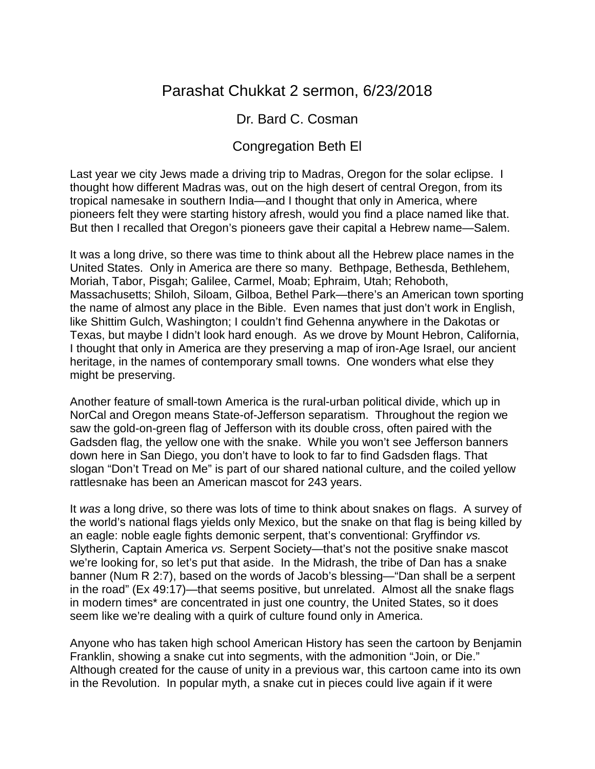# Parashat Chukkat 2 sermon, 6/23/2018

### Dr. Bard C. Cosman

## Congregation Beth El

Last year we city Jews made a driving trip to Madras, Oregon for the solar eclipse. I thought how different Madras was, out on the high desert of central Oregon, from its tropical namesake in southern India—and I thought that only in America, where pioneers felt they were starting history afresh, would you find a place named like that. But then I recalled that Oregon's pioneers gave their capital a Hebrew name—Salem.

It was a long drive, so there was time to think about all the Hebrew place names in the United States. Only in America are there so many. Bethpage, Bethesda, Bethlehem, Moriah, Tabor, Pisgah; Galilee, Carmel, Moab; Ephraim, Utah; Rehoboth, Massachusetts; Shiloh, Siloam, Gilboa, Bethel Park—there's an American town sporting the name of almost any place in the Bible. Even names that just don't work in English, like Shittim Gulch, Washington; I couldn't find Gehenna anywhere in the Dakotas or Texas, but maybe I didn't look hard enough. As we drove by Mount Hebron, California, I thought that only in America are they preserving a map of iron-Age Israel, our ancient heritage, in the names of contemporary small towns. One wonders what else they might be preserving.

Another feature of small-town America is the rural-urban political divide, which up in NorCal and Oregon means State-of-Jefferson separatism. Throughout the region we saw the gold-on-green flag of Jefferson with its double cross, often paired with the Gadsden flag, the yellow one with the snake. While you won't see Jefferson banners down here in San Diego, you don't have to look to far to find Gadsden flags. That slogan "Don't Tread on Me" is part of our shared national culture, and the coiled yellow rattlesnake has been an American mascot for 243 years.

It *was* a long drive, so there was lots of time to think about snakes on flags. A survey of the world's national flags yields only Mexico, but the snake on that flag is being killed by an eagle: noble eagle fights demonic serpent, that's conventional: Gryffindor *vs.* Slytherin, Captain America *vs.* Serpent Society—that's not the positive snake mascot we're looking for, so let's put that aside. In the Midrash, the tribe of Dan has a snake banner (Num R 2:7), based on the words of Jacob's blessing—"Dan shall be a serpent in the road" (Ex 49:17)—that seems positive, but unrelated. Almost all the snake flags in modern times\* are concentrated in just one country, the United States, so it does seem like we're dealing with a quirk of culture found only in America.

Anyone who has taken high school American History has seen the cartoon by Benjamin Franklin, showing a snake cut into segments, with the admonition "Join, or Die." Although created for the cause of unity in a previous war, this cartoon came into its own in the Revolution. In popular myth, a snake cut in pieces could live again if it were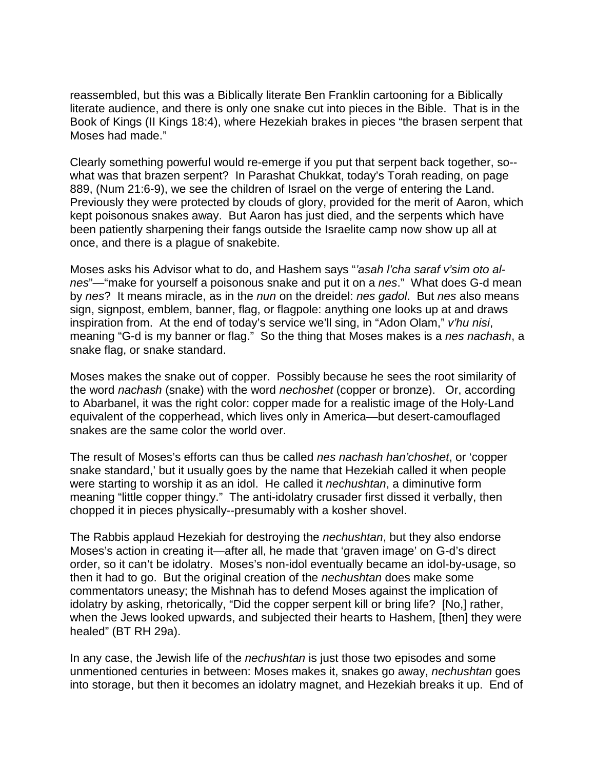reassembled, but this was a Biblically literate Ben Franklin cartooning for a Biblically literate audience, and there is only one snake cut into pieces in the Bible. That is in the Book of Kings (II Kings 18:4), where Hezekiah brakes in pieces "the brasen serpent that Moses had made."

Clearly something powerful would re-emerge if you put that serpent back together, so- what was that brazen serpent? In Parashat Chukkat, today's Torah reading, on page 889, (Num 21:6-9), we see the children of Israel on the verge of entering the Land. Previously they were protected by clouds of glory, provided for the merit of Aaron, which kept poisonous snakes away. But Aaron has just died, and the serpents which have been patiently sharpening their fangs outside the Israelite camp now show up all at once, and there is a plague of snakebite.

Moses asks his Advisor what to do, and Hashem says "*'asah l'cha saraf v'sim oto alnes*"—"make for yourself a poisonous snake and put it on a *nes*." What does G-d mean by *nes*? It means miracle, as in the *nun* on the dreidel: *nes gadol*. But *nes* also means sign, signpost, emblem, banner, flag, or flagpole: anything one looks up at and draws inspiration from. At the end of today's service we'll sing, in "Adon Olam," *v'hu nisi*, meaning "G-d is my banner or flag." So the thing that Moses makes is a *nes nachash*, a snake flag, or snake standard.

Moses makes the snake out of copper. Possibly because he sees the root similarity of the word *nachash* (snake) with the word *nechoshet* (copper or bronze). Or, according to Abarbanel, it was the right color: copper made for a realistic image of the Holy-Land equivalent of the copperhead, which lives only in America—but desert-camouflaged snakes are the same color the world over.

The result of Moses's efforts can thus be called *nes nachash han'choshet*, or 'copper snake standard,' but it usually goes by the name that Hezekiah called it when people were starting to worship it as an idol. He called it *nechushtan*, a diminutive form meaning "little copper thingy." The anti-idolatry crusader first dissed it verbally, then chopped it in pieces physically--presumably with a kosher shovel.

The Rabbis applaud Hezekiah for destroying the *nechushtan*, but they also endorse Moses's action in creating it*—*after all, he made that 'graven image' on G-d's direct order, so it can't be idolatry. Moses's non-idol eventually became an idol-by-usage, so then it had to go. But the original creation of the *nechushtan* does make some commentators uneasy; the Mishnah has to defend Moses against the implication of idolatry by asking, rhetorically, "Did the copper serpent kill or bring life? [No,] rather, when the Jews looked upwards, and subjected their hearts to Hashem, [then] they were healed" (BT RH 29a).

In any case, the Jewish life of the *nechushtan* is just those two episodes and some unmentioned centuries in between: Moses makes it, snakes go away, *nechushtan* goes into storage, but then it becomes an idolatry magnet, and Hezekiah breaks it up. End of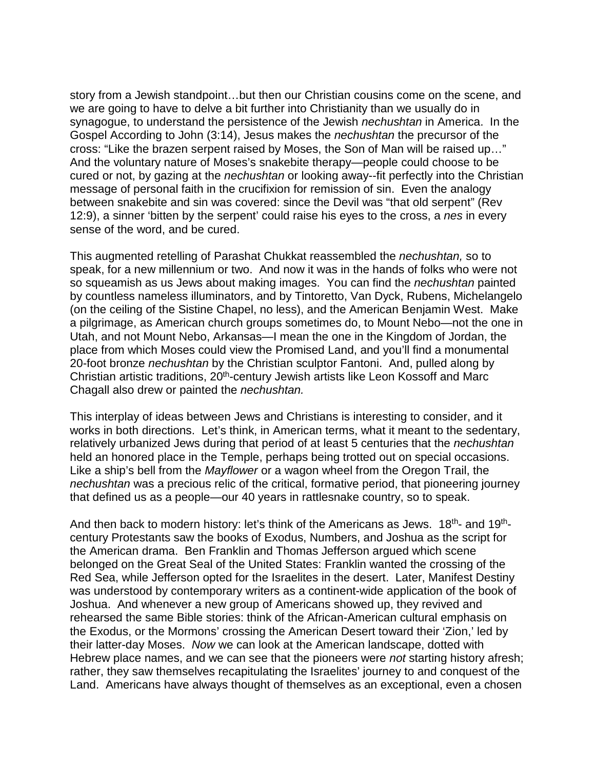story from a Jewish standpoint…but then our Christian cousins come on the scene, and we are going to have to delve a bit further into Christianity than we usually do in synagogue, to understand the persistence of the Jewish *nechushtan* in America. In the Gospel According to John (3:14), Jesus makes the *nechushtan* the precursor of the cross: "Like the brazen serpent raised by Moses, the Son of Man will be raised up…" And the voluntary nature of Moses's snakebite therapy—people could choose to be cured or not, by gazing at the *nechushtan* or looking away--fit perfectly into the Christian message of personal faith in the crucifixion for remission of sin. Even the analogy between snakebite and sin was covered: since the Devil was "that old serpent" (Rev 12:9), a sinner 'bitten by the serpent' could raise his eyes to the cross, a *nes* in every sense of the word, and be cured.

This augmented retelling of Parashat Chukkat reassembled the *nechushtan,* so to speak, for a new millennium or two. And now it was in the hands of folks who were not so squeamish as us Jews about making images. You can find the *nechushtan* painted by countless nameless illuminators, and by Tintoretto, Van Dyck, Rubens, Michelangelo (on the ceiling of the Sistine Chapel, no less), and the American Benjamin West. Make a pilgrimage, as American church groups sometimes do, to Mount Nebo—not the one in Utah, and not Mount Nebo, Arkansas—I mean the one in the Kingdom of Jordan, the place from which Moses could view the Promised Land, and you'll find a monumental 20-foot bronze *nechushtan* by the Christian sculptor Fantoni. And, pulled along by Christian artistic traditions, 20<sup>th</sup>-century Jewish artists like Leon Kossoff and Marc Chagall also drew or painted the *nechushtan.*

This interplay of ideas between Jews and Christians is interesting to consider, and it works in both directions. Let's think, in American terms, what it meant to the sedentary, relatively urbanized Jews during that period of at least 5 centuries that the *nechushtan* held an honored place in the Temple, perhaps being trotted out on special occasions. Like a ship's bell from the *Mayflower* or a wagon wheel from the Oregon Trail, the *nechushtan* was a precious relic of the critical, formative period, that pioneering journey that defined us as a people—our 40 years in rattlesnake country, so to speak.

And then back to modern history: let's think of the Americans as Jews. 18<sup>th</sup>- and 19<sup>th</sup>century Protestants saw the books of Exodus, Numbers, and Joshua as the script for the American drama. Ben Franklin and Thomas Jefferson argued which scene belonged on the Great Seal of the United States: Franklin wanted the crossing of the Red Sea, while Jefferson opted for the Israelites in the desert. Later, Manifest Destiny was understood by contemporary writers as a continent-wide application of the book of Joshua. And whenever a new group of Americans showed up, they revived and rehearsed the same Bible stories: think of the African-American cultural emphasis on the Exodus, or the Mormons' crossing the American Desert toward their 'Zion,' led by their latter-day Moses. *Now* we can look at the American landscape, dotted with Hebrew place names, and we can see that the pioneers were *not* starting history afresh; rather, they saw themselves recapitulating the Israelites' journey to and conquest of the Land. Americans have always thought of themselves as an exceptional, even a chosen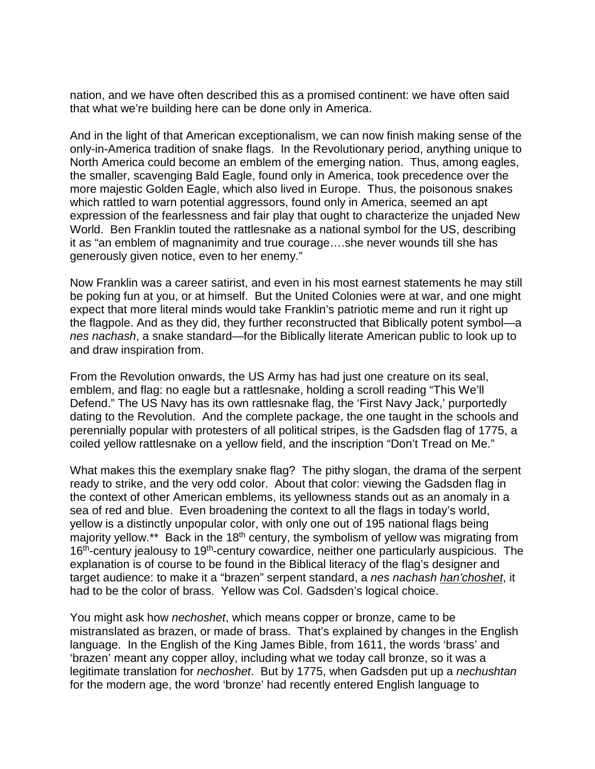nation, and we have often described this as a promised continent: we have often said that what we're building here can be done only in America.

And in the light of that American exceptionalism, we can now finish making sense of the only-in-America tradition of snake flags. In the Revolutionary period, anything unique to North America could become an emblem of the emerging nation. Thus, among eagles, the smaller, scavenging Bald Eagle, found only in America, took precedence over the more majestic Golden Eagle, which also lived in Europe. Thus, the poisonous snakes which rattled to warn potential aggressors, found only in America, seemed an apt expression of the fearlessness and fair play that ought to characterize the unjaded New World. Ben Franklin touted the rattlesnake as a national symbol for the US, describing it as "an emblem of magnanimity and true courage….she never wounds till she has generously given notice, even to her enemy."

Now Franklin was a career satirist, and even in his most earnest statements he may still be poking fun at you, or at himself. But the United Colonies were at war, and one might expect that more literal minds would take Franklin's patriotic meme and run it right up the flagpole. And as they did, they further reconstructed that Biblically potent symbol—a *nes nachash*, a snake standard—for the Biblically literate American public to look up to and draw inspiration from.

From the Revolution onwards, the US Army has had just one creature on its seal, emblem, and flag: no eagle but a rattlesnake, holding a scroll reading "This We'll Defend." The US Navy has its own rattlesnake flag, the 'First Navy Jack,' purportedly dating to the Revolution. And the complete package, the one taught in the schools and perennially popular with protesters of all political stripes, is the Gadsden flag of 1775, a coiled yellow rattlesnake on a yellow field, and the inscription "Don't Tread on Me."

What makes this the exemplary snake flag? The pithy slogan, the drama of the serpent ready to strike, and the very odd color. About that color: viewing the Gadsden flag in the context of other American emblems, its yellowness stands out as an anomaly in a sea of red and blue. Even broadening the context to all the flags in today's world, yellow is a distinctly unpopular color, with only one out of 195 national flags being majority yellow.<sup>\*\*</sup> Back in the 18<sup>th</sup> century, the symbolism of yellow was migrating from  $16<sup>th</sup>$ -century jealousy to  $19<sup>th</sup>$ -century cowardice, neither one particularly auspicious. The explanation is of course to be found in the Biblical literacy of the flag's designer and target audience: to make it a "brazen" serpent standard, a *nes nachash han'choshet*, it had to be the color of brass. Yellow was Col. Gadsden's logical choice.

You might ask how *nechoshet*, which means copper or bronze, came to be mistranslated as brazen, or made of brass. That's explained by changes in the English language. In the English of the King James Bible, from 1611, the words 'brass' and 'brazen' meant any copper alloy, including what we today call bronze, so it was a legitimate translation for *nechoshet*. But by 1775, when Gadsden put up a *nechushtan* for the modern age, the word 'bronze' had recently entered English language to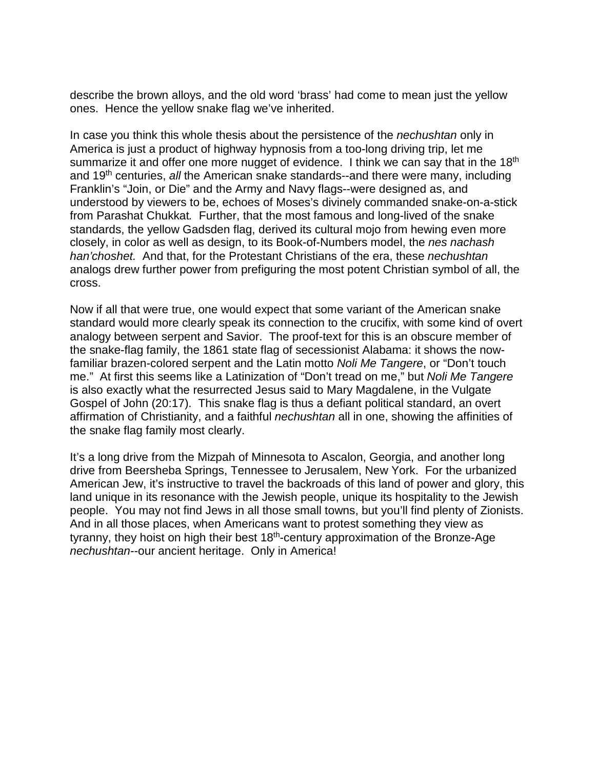describe the brown alloys, and the old word 'brass' had come to mean just the yellow ones. Hence the yellow snake flag we've inherited.

In case you think this whole thesis about the persistence of the *nechushtan* only in America is just a product of highway hypnosis from a too-long driving trip, let me summarize it and offer one more nugget of evidence. I think we can say that in the 18<sup>th</sup> and 19th centuries, *all* the American snake standards--and there were many, including Franklin's "Join, or Die" and the Army and Navy flags--were designed as, and understood by viewers to be, echoes of Moses's divinely commanded snake-on-a-stick from Parashat Chukkat*.* Further, that the most famous and long-lived of the snake standards, the yellow Gadsden flag, derived its cultural mojo from hewing even more closely, in color as well as design, to its Book-of-Numbers model, the *nes nachash han'choshet.* And that, for the Protestant Christians of the era, these *nechushtan*  analogs drew further power from prefiguring the most potent Christian symbol of all, the cross.

Now if all that were true, one would expect that some variant of the American snake standard would more clearly speak its connection to the crucifix, with some kind of overt analogy between serpent and Savior. The proof-text for this is an obscure member of the snake-flag family, the 1861 state flag of secessionist Alabama: it shows the nowfamiliar brazen-colored serpent and the Latin motto *Noli Me Tangere*, or "Don't touch me." At first this seems like a Latinization of "Don't tread on me," but *Noli Me Tangere* is also exactly what the resurrected Jesus said to Mary Magdalene, in the Vulgate Gospel of John (20:17). This snake flag is thus a defiant political standard, an overt affirmation of Christianity, and a faithful *nechushtan* all in one, showing the affinities of the snake flag family most clearly.

It's a long drive from the Mizpah of Minnesota to Ascalon, Georgia, and another long drive from Beersheba Springs, Tennessee to Jerusalem, New York. For the urbanized American Jew, it's instructive to travel the backroads of this land of power and glory, this land unique in its resonance with the Jewish people, unique its hospitality to the Jewish people. You may not find Jews in all those small towns, but you'll find plenty of Zionists. And in all those places, when Americans want to protest something they view as tyranny, they hoist on high their best  $18<sup>th</sup>$ -century approximation of the Bronze-Age *nechushtan*--our ancient heritage. Only in America!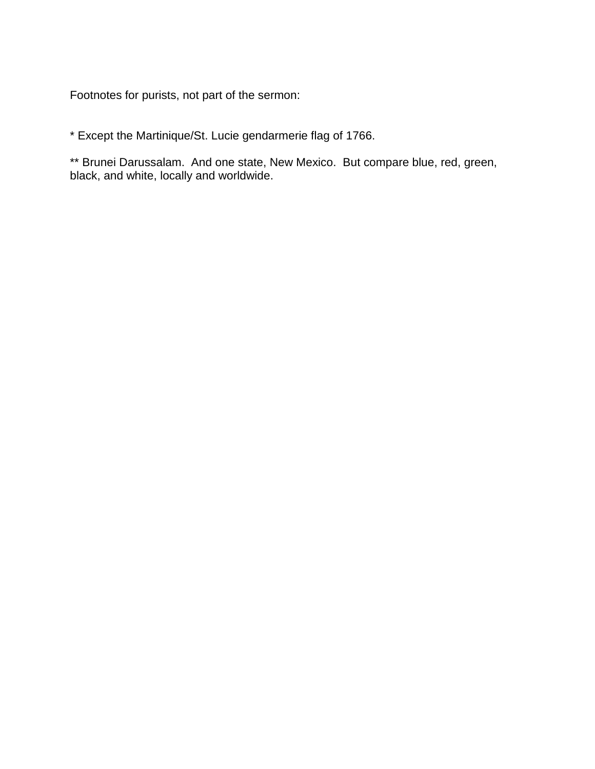Footnotes for purists, not part of the sermon:

\* Except the Martinique/St. Lucie gendarmerie flag of 1766.

\*\* Brunei Darussalam. And one state, New Mexico. But compare blue, red, green, black, and white, locally and worldwide.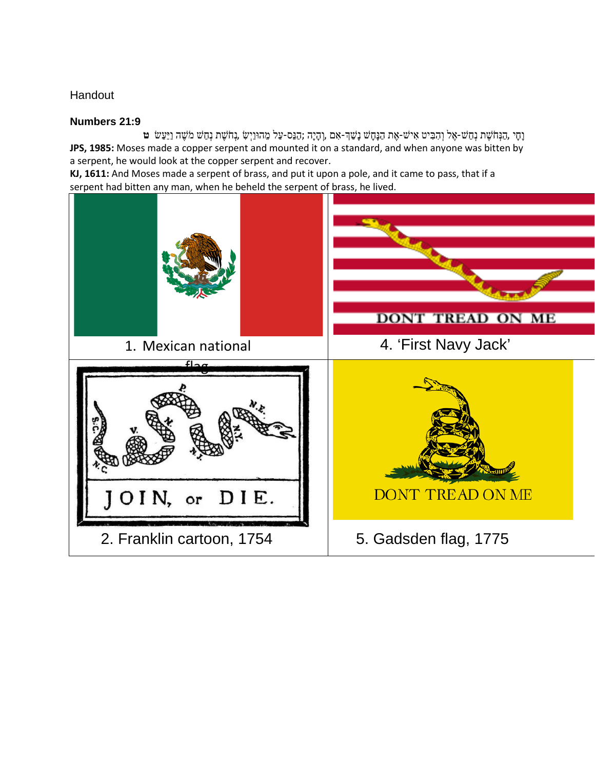#### **Handout**

#### **Numbers 21:9**

וָחָי ,הַנְּחֹשֶׁ ת נְחַ שׁ-אֶ ל וְ הִ בִּ יט אִ ישׁ-אֶ ת הַנָּחָ שׁ נָשַׁ �-אִ ם ,וְ הָיָה ;הַנֵּס-עַל מֵ הוּוַיְשִׂ ,נְחֹשֶׁ ת נְחַשׁ מֹשֶׁ ה וַיַּעַשׂ **ט JPS, 1985:** Moses made a copper serpent and mounted it on a standard, and when anyone was bitten by a serpent, he would look at the copper serpent and recover.

**KJ, 1611:** And Moses made a serpent of brass, and put it upon a pole, and it came to pass, that if a serpent had bitten any man, when he beheld the serpent of brass, he lived.